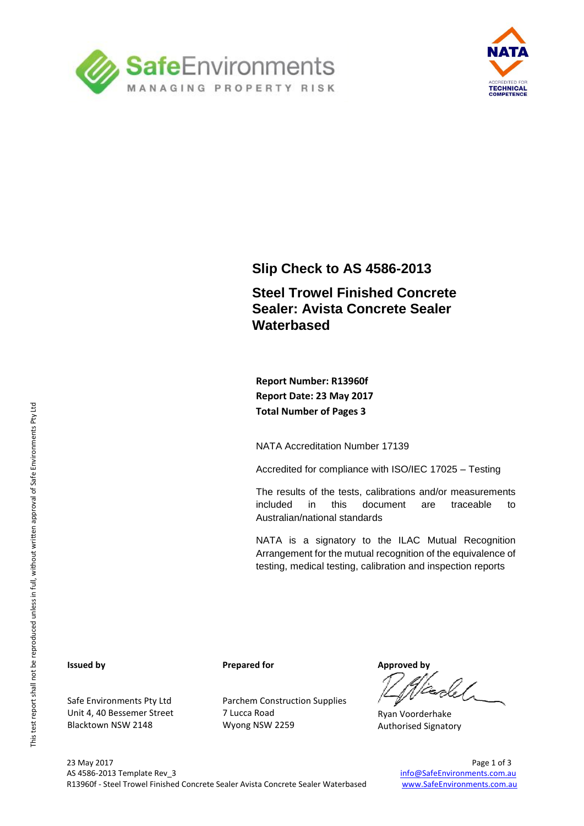



## **Slip Check to AS 4586-2013**

## **Steel Trowel Finished Concrete Sealer: Avista Concrete Sealer Waterbased**

**Report Number: R13960f Report Date: 23 May 2017 Total Number of Pages 3**

NATA Accreditation Number 17139

Accredited for compliance with ISO/IEC 17025 – Testing

The results of the tests, calibrations and/or measurements included in this document are traceable to Australian/national standards

NATA is a signatory to the ILAC Mutual Recognition Arrangement for the mutual recognition of the equivalence of testing, medical testing, calibration and inspection reports

#### **Issued by**

Safe Environments Pty Ltd Unit 4, 40 Bessemer Street Blacktown NSW 2148

**Prepared for**

Parchem Construction Supplies 7 Lucca Road Wyong NSW 2259

**Approved by**

Ryan Voorderhake Authorised Signatory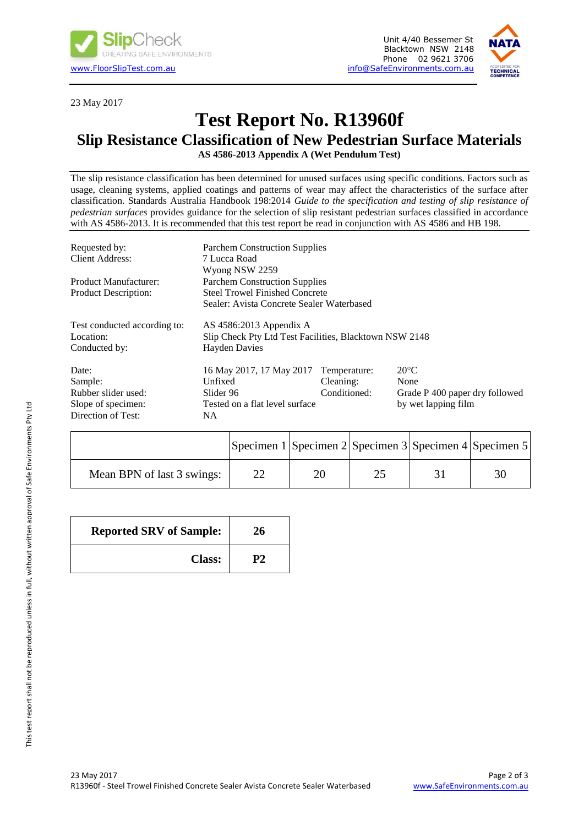



23 May 2017

# **Test Report No. R13960f**

## **Slip Resistance Classification of New Pedestrian Surface Materials**

**AS 4586-2013 Appendix A (Wet Pendulum Test)**

The slip resistance classification has been determined for unused surfaces using specific conditions. Factors such as usage, cleaning systems, applied coatings and patterns of wear may affect the characteristics of the surface after classification. Standards Australia Handbook 198:2014 *Guide to the specification and testing of slip resistance of pedestrian surfaces* provides guidance for the selection of slip resistant pedestrian surfaces classified in accordance with AS 4586-2013. It is recommended that this test report be read in conjunction with AS 4586 and HB 198.

| Requested by:                                                        | <b>Parchem Construction Supplies</b>                   |              |                                |  |  |
|----------------------------------------------------------------------|--------------------------------------------------------|--------------|--------------------------------|--|--|
| Client Address:                                                      | 7 Lucca Road                                           |              |                                |  |  |
|                                                                      | Wyong NSW 2259                                         |              |                                |  |  |
| <b>Product Manufacturer:</b>                                         | <b>Parchem Construction Supplies</b>                   |              |                                |  |  |
| <b>Steel Trowel Finished Concrete</b><br><b>Product Description:</b> |                                                        |              |                                |  |  |
|                                                                      | Sealer: Avista Concrete Sealer Waterbased              |              |                                |  |  |
| Test conducted according to:                                         | AS $4586:2013$ Appendix A                              |              |                                |  |  |
| Location:                                                            | Slip Check Pty Ltd Test Facilities, Blacktown NSW 2148 |              |                                |  |  |
| Conducted by:                                                        | <b>Hayden Davies</b>                                   |              |                                |  |  |
| Date:                                                                | 16 May 2017, 17 May 2017                               | Temperature: | $20^{\circ}$ C                 |  |  |
| Sample:                                                              | Unfixed                                                | Cleaning:    | None                           |  |  |
| Rubber slider used:                                                  | Slider 96                                              | Conditioned: | Grade P 400 paper dry followed |  |  |
| Slope of specimen:                                                   | Tested on a flat level surface                         |              | by wet lapping film            |  |  |
| Direction of Test:                                                   | NA.                                                    |              |                                |  |  |

|                            | Specimen $1$ Specimen $2$ Specimen $3$ Specimen $4$ Specimen 5 |  |  |
|----------------------------|----------------------------------------------------------------|--|--|
| Mean BPN of last 3 swings: | 20                                                             |  |  |

| <b>Reported SRV of Sample:</b> | 26 |
|--------------------------------|----|
| <b>Class:</b>                  | P2 |